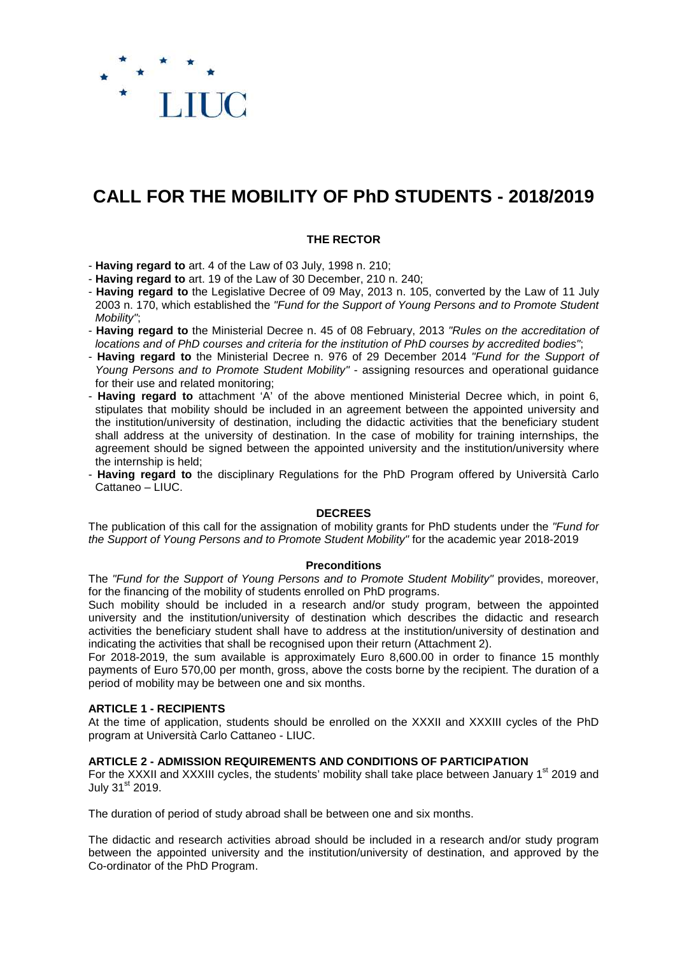

# **CALL FOR THE MOBILITY OF PhD STUDENTS - 2018/2019**

## **THE RECTOR**

- **Having regard to** art. 4 of the Law of 03 July, 1998 n. 210;

- **Having regard to** art. 19 of the Law of 30 December, 210 n. 240;

- **Having regard to** the Legislative Decree of 09 May, 2013 n. 105, converted by the Law of 11 July 2003 n. 170, which established the "Fund for the Support of Young Persons and to Promote Student Mobility";
- **Having regard to** the Ministerial Decree n. 45 of 08 February, 2013 "Rules on the accreditation of locations and of PhD courses and criteria for the institution of PhD courses by accredited bodies";
- **Having regard to** the Ministerial Decree n. 976 of 29 December 2014 "Fund for the Support of Young Persons and to Promote Student Mobility" - assigning resources and operational quidance for their use and related monitoring;
- **Having regard to** attachment 'A' of the above mentioned Ministerial Decree which, in point 6, stipulates that mobility should be included in an agreement between the appointed university and the institution/university of destination, including the didactic activities that the beneficiary student shall address at the university of destination. In the case of mobility for training internships, the agreement should be signed between the appointed university and the institution/university where the internship is held;
- **Having regard to** the disciplinary Regulations for the PhD Program offered by Università Carlo Cattaneo – LIUC.

## **DECREES**

The publication of this call for the assignation of mobility grants for PhD students under the "Fund for the Support of Young Persons and to Promote Student Mobility" for the academic year 2018-2019

#### **Preconditions**

The "Fund for the Support of Young Persons and to Promote Student Mobility" provides, moreover, for the financing of the mobility of students enrolled on PhD programs.

Such mobility should be included in a research and/or study program, between the appointed university and the institution/university of destination which describes the didactic and research activities the beneficiary student shall have to address at the institution/university of destination and indicating the activities that shall be recognised upon their return (Attachment 2).

For 2018-2019, the sum available is approximately Euro 8,600.00 in order to finance 15 monthly payments of Euro 570,00 per month, gross, above the costs borne by the recipient. The duration of a period of mobility may be between one and six months.

#### **ARTICLE 1 - RECIPIENTS**

At the time of application, students should be enrolled on the XXXII and XXXIII cycles of the PhD program at Università Carlo Cattaneo - LIUC.

#### **ARTICLE 2 - ADMISSION REQUIREMENTS AND CONDITIONS OF PARTICIPATION**

For the XXXII and XXXIII cycles, the students' mobility shall take place between January 1<sup>st</sup> 2019 and July 31<sup>st</sup> 2019.

The duration of period of study abroad shall be between one and six months.

The didactic and research activities abroad should be included in a research and/or study program between the appointed university and the institution/university of destination, and approved by the Co-ordinator of the PhD Program.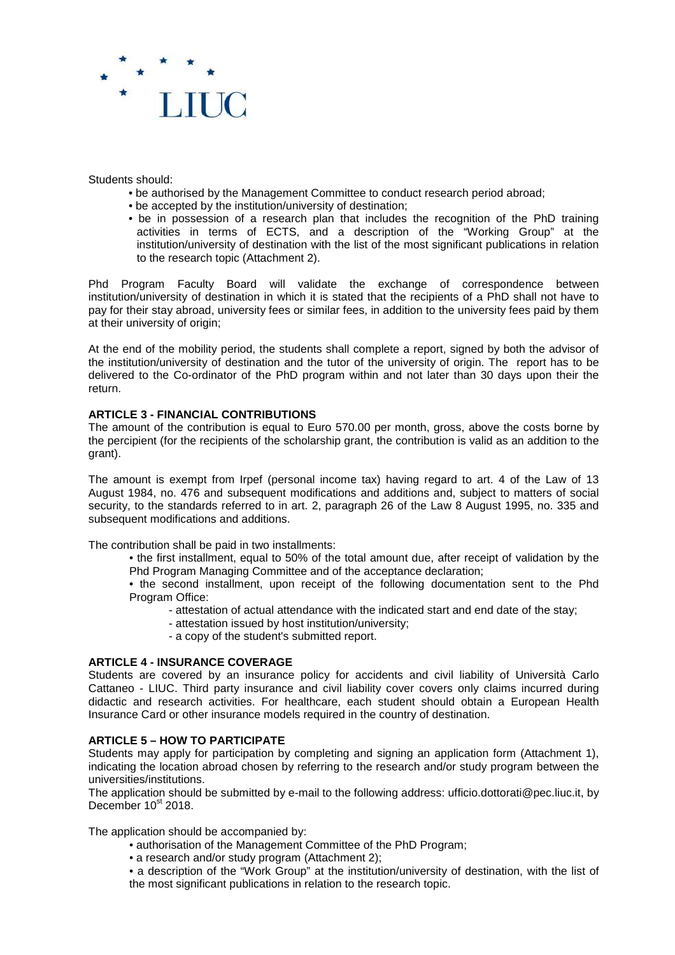

Students should:

- be authorised by the Management Committee to conduct research period abroad;
- be accepted by the institution/university of destination;
- be in possession of a research plan that includes the recognition of the PhD training activities in terms of ECTS, and a description of the "Working Group" at the institution/university of destination with the list of the most significant publications in relation to the research topic (Attachment 2).

Phd Program Faculty Board will validate the exchange of correspondence between institution/university of destination in which it is stated that the recipients of a PhD shall not have to pay for their stay abroad, university fees or similar fees, in addition to the university fees paid by them at their university of origin;

At the end of the mobility period, the students shall complete a report, signed by both the advisor of the institution/university of destination and the tutor of the university of origin. The report has to be delivered to the Co-ordinator of the PhD program within and not later than 30 days upon their the return.

# **ARTICLE 3 - FINANCIAL CONTRIBUTIONS**

The amount of the contribution is equal to Euro 570.00 per month, gross, above the costs borne by the percipient (for the recipients of the scholarship grant, the contribution is valid as an addition to the grant).

The amount is exempt from Irpef (personal income tax) having regard to art. 4 of the Law of 13 August 1984, no. 476 and subsequent modifications and additions and, subject to matters of social security, to the standards referred to in art. 2, paragraph 26 of the Law 8 August 1995, no. 335 and subsequent modifications and additions.

The contribution shall be paid in two installments:

• the first installment, equal to 50% of the total amount due, after receipt of validation by the Phd Program Managing Committee and of the acceptance declaration;

• the second installment, upon receipt of the following documentation sent to the Phd Program Office:

- attestation of actual attendance with the indicated start and end date of the stay;
- attestation issued by host institution/university;
- a copy of the student's submitted report.

## **ARTICLE 4 - INSURANCE COVERAGE**

Students are covered by an insurance policy for accidents and civil liability of Università Carlo Cattaneo - LIUC. Third party insurance and civil liability cover covers only claims incurred during didactic and research activities. For healthcare, each student should obtain a European Health Insurance Card or other insurance models required in the country of destination.

## **ARTICLE 5 – HOW TO PARTICIPATE**

Students may apply for participation by completing and signing an application form (Attachment 1), indicating the location abroad chosen by referring to the research and/or study program between the universities/institutions.

The application should be submitted by e-mail to the following address: ufficio.dottorati@pec.liuc.it, by December  $10^{st}$  2018.

The application should be accompanied by:

- authorisation of the Management Committee of the PhD Program;
- a research and/or study program (Attachment 2);
- a description of the "Work Group" at the institution/university of destination, with the list of the most significant publications in relation to the research topic.